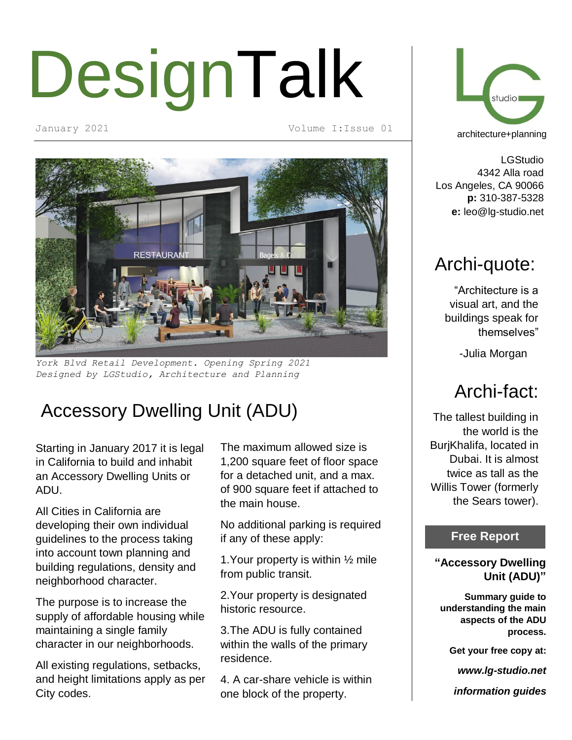# DesignTalk

January 2021 Volume I:Issue 01



*York Blvd Retail Development. Opening Spring 2021 Designed by LGStudio, Architecture and Planning*

## Accessory Dwelling Unit (ADU)

Starting in January 2017 it is legal in California to build and inhabit an Accessory Dwelling Units or ADU.

All Cities in California are developing their own individual guidelines to the process taking into account town planning and building regulations, density and neighborhood character.

The purpose is to increase the supply of affordable housing while maintaining a single family character in our neighborhoods.

All existing regulations, setbacks, and height limitations apply as per City codes.

The maximum allowed size is 1,200 square feet of floor space for a detached unit, and a max. of 900 square feet if attached to the main house.

No additional parking is required if any of these apply:

1.Your property is within ½ mile from public transit.

2.Your property is designated historic resource.

3.The ADU is fully contained within the walls of the primary residence.

4. A car-share vehicle is within one block of the property.



LGStudio 4342 Alla road Los Angeles, CA 90066 **p:** 310-387-5328 **e:** leo@lg-studio.net

## Archi-quote:

"Architecture is a visual art, and the buildings speak for themselves"

-Julia Morgan

## Archi-fact:

The tallest building in the world is the BurjKhalifa, located in Dubai. It is almost twice as tall as the Willis Tower (formerly the Sears tower).

### **Free Report**

#### **"Accessory Dwelling Unit (ADU)"**

**Summary guide to understanding the main aspects of the ADU process.**

**Get your free copy at:**

*www.lg-studio.net*

*information guides*